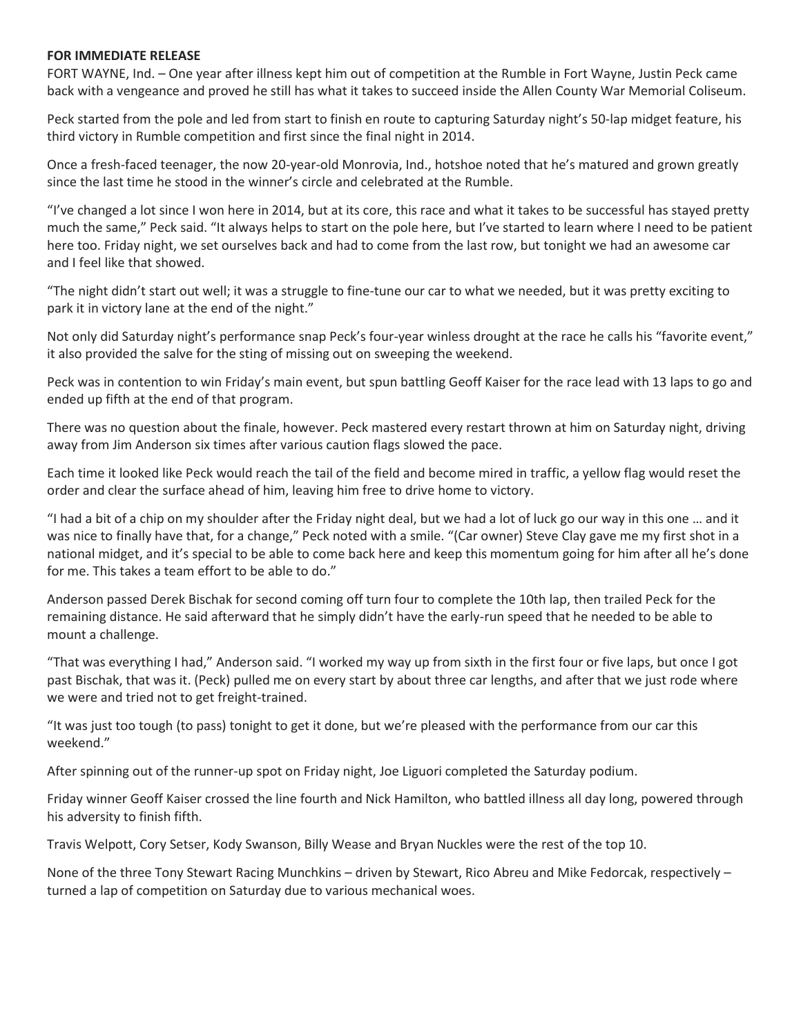## **FOR IMMEDIATE RELEASE**

FORT WAYNE, Ind. – One year after illness kept him out of competition at the Rumble in Fort Wayne, Justin Peck came back with a vengeance and proved he still has what it takes to succeed inside the Allen County War Memorial Coliseum.

Peck started from the pole and led from start to finish en route to capturing Saturday night's 50-lap midget feature, his third victory in Rumble competition and first since the final night in 2014.

Once a fresh-faced teenager, the now 20-year-old Monrovia, Ind., hotshoe noted that he's matured and grown greatly since the last time he stood in the winner's circle and celebrated at the Rumble.

"I've changed a lot since I won here in 2014, but at its core, this race and what it takes to be successful has stayed pretty much the same," Peck said. "It always helps to start on the pole here, but I've started to learn where I need to be patient here too. Friday night, we set ourselves back and had to come from the last row, but tonight we had an awesome car and I feel like that showed.

"The night didn't start out well; it was a struggle to fine-tune our car to what we needed, but it was pretty exciting to park it in victory lane at the end of the night."

Not only did Saturday night's performance snap Peck's four-year winless drought at the race he calls his "favorite event," it also provided the salve for the sting of missing out on sweeping the weekend.

Peck was in contention to win Friday's main event, but spun battling Geoff Kaiser for the race lead with 13 laps to go and ended up fifth at the end of that program.

There was no question about the finale, however. Peck mastered every restart thrown at him on Saturday night, driving away from Jim Anderson six times after various caution flags slowed the pace.

Each time it looked like Peck would reach the tail of the field and become mired in traffic, a yellow flag would reset the order and clear the surface ahead of him, leaving him free to drive home to victory.

"I had a bit of a chip on my shoulder after the Friday night deal, but we had a lot of luck go our way in this one … and it was nice to finally have that, for a change," Peck noted with a smile. "(Car owner) Steve Clay gave me my first shot in a national midget, and it's special to be able to come back here and keep this momentum going for him after all he's done for me. This takes a team effort to be able to do."

Anderson passed Derek Bischak for second coming off turn four to complete the 10th lap, then trailed Peck for the remaining distance. He said afterward that he simply didn't have the early-run speed that he needed to be able to mount a challenge.

"That was everything I had," Anderson said. "I worked my way up from sixth in the first four or five laps, but once I got past Bischak, that was it. (Peck) pulled me on every start by about three car lengths, and after that we just rode where we were and tried not to get freight-trained.

"It was just too tough (to pass) tonight to get it done, but we're pleased with the performance from our car this weekend."

After spinning out of the runner-up spot on Friday night, Joe Liguori completed the Saturday podium.

Friday winner Geoff Kaiser crossed the line fourth and Nick Hamilton, who battled illness all day long, powered through his adversity to finish fifth.

Travis Welpott, Cory Setser, Kody Swanson, Billy Wease and Bryan Nuckles were the rest of the top 10.

None of the three Tony Stewart Racing Munchkins – driven by Stewart, Rico Abreu and Mike Fedorcak, respectively – turned a lap of competition on Saturday due to various mechanical woes.